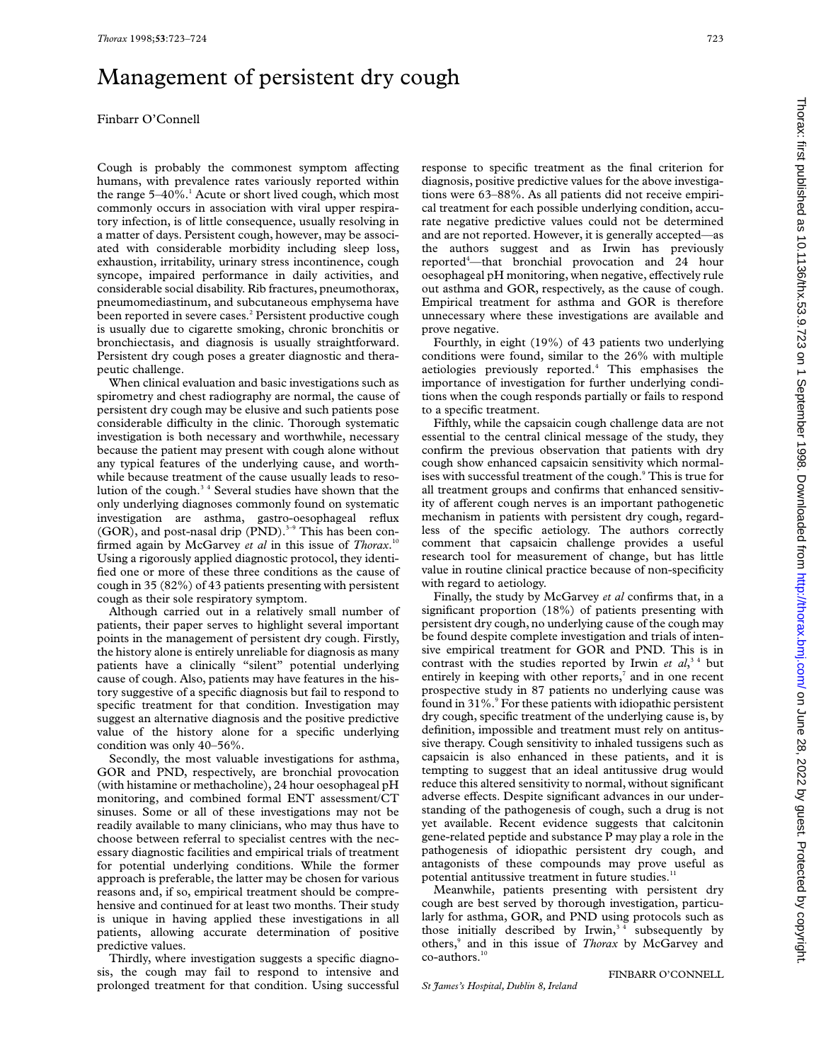## Management of persistent dry cough

Finbarr O'Connell

Cough is probably the commonest symptom affecting humans, with prevalence rates variously reported within the range  $5-40\%$ .<sup>1</sup> Acute or short lived cough, which most commonly occurs in association with viral upper respiratory infection, is of little consequence, usually resolving in a matter of days. Persistent cough, however, may be associated with considerable morbidity including sleep loss, exhaustion, irritability, urinary stress incontinence, cough syncope, impaired performance in daily activities, and considerable social disability. Rib fractures, pneumothorax, pneumomediastinum, and subcutaneous emphysema have been reported in severe cases.<sup>2</sup> Persistent productive cough is usually due to cigarette smoking, chronic bronchitis or bronchiectasis, and diagnosis is usually straightforward. Persistent dry cough poses a greater diagnostic and therapeutic challenge.

When clinical evaluation and basic investigations such as spirometry and chest radiography are normal, the cause of persistent dry cough may be elusive and such patients pose considerable difficulty in the clinic. Thorough systematic investigation is both necessary and worthwhile, necessary because the patient may present with cough alone without any typical features of the underlying cause, and worthwhile because treatment of the cause usually leads to resolution of the cough.3 4 Several studies have shown that the only underlying diagnoses commonly found on systematic investigation are asthma, gastro-oesophageal reflux  $(GOR)$ , and post-nasal drip  $(PND)$ .<sup>3-9</sup> This has been confirmed again by McGarvey *et al* in this issue of *Thorax*. 10 Using a rigorously applied diagnostic protocol, they identified one or more of these three conditions as the cause of cough in 35 (82%) of 43 patients presenting with persistent cough as their sole respiratory symptom.

Although carried out in a relatively small number of patients, their paper serves to highlight several important points in the management of persistent dry cough. Firstly, the history alone is entirely unreliable for diagnosis as many patients have a clinically "silent" potential underlying cause of cough. Also, patients may have features in the history suggestive of a specific diagnosis but fail to respond to specific treatment for that condition. Investigation may suggest an alternative diagnosis and the positive predictive value of the history alone for a specific underlying condition was only 40–56%.

Secondly, the most valuable investigations for asthma, GOR and PND, respectively, are bronchial provocation (with histamine or methacholine), 24 hour oesophageal pH monitoring, and combined formal ENT assessment/CT sinuses. Some or all of these investigations may not be readily available to many clinicians, who may thus have to choose between referral to specialist centres with the necessary diagnostic facilities and empirical trials of treatment for potential underlying conditions. While the former approach is preferable, the latter may be chosen for various reasons and, if so, empirical treatment should be comprehensive and continued for at least two months. Their study is unique in having applied these investigations in all patients, allowing accurate determination of positive predictive values.

Thirdly, where investigation suggests a specific diagnosis, the cough may fail to respond to intensive and prolonged treatment for that condition. Using successful response to specific treatment as the final criterion for diagnosis, positive predictive values for the above investigations were 63–88%. As all patients did not receive empirical treatment for each possible underlying condition, accurate negative predictive values could not be determined and are not reported. However, it is generally accepted—as the authors suggest and as Irwin has previously reported4 —that bronchial provocation and 24 hour oesophageal pH monitoring, when negative, effectively rule out asthma and GOR, respectively, as the cause of cough. Empirical treatment for asthma and GOR is therefore unnecessary where these investigations are available and prove negative.

Fourthly, in eight (19%) of 43 patients two underlying conditions were found, similar to the 26% with multiple aetiologies previously reported.4 This emphasises the importance of investigation for further underlying conditions when the cough responds partially or fails to respond to a specific treatment.

Fifthly, while the capsaicin cough challenge data are not essential to the central clinical message of the study, they confirm the previous observation that patients with dry cough show enhanced capsaicin sensitivity which normalises with successful treatment of the cough.<sup>9</sup> This is true for all treatment groups and confirms that enhanced sensitivity of afferent cough nerves is an important pathogenetic mechanism in patients with persistent dry cough, regardless of the specific aetiology. The authors correctly comment that capsaicin challenge provides a useful research tool for measurement of change, but has little value in routine clinical practice because of non-specificity with regard to aetiology.

Finally, the study by McGarvey *et al* confirms that, in a significant proportion (18%) of patients presenting with persistent dry cough, no underlying cause of the cough may be found despite complete investigation and trials of intensive empirical treatment for GOR and PND. This is in contrast with the studies reported by Irwin et al,<sup>34</sup> but entirely in keeping with other reports,<sup>7</sup> and in one recent prospective study in 87 patients no underlying cause was found in  $31\%$ . For these patients with idiopathic persistent dry cough, specific treatment of the underlying cause is, by definition, impossible and treatment must rely on antitussive therapy. Cough sensitivity to inhaled tussigens such as capsaicin is also enhanced in these patients, and it is tempting to suggest that an ideal antitussive drug would reduce this altered sensitivity to normal, without significant adverse effects. Despite significant advances in our understanding of the pathogenesis of cough, such a drug is not yet available. Recent evidence suggests that calcitonin gene-related peptide and substance P may play a role in the pathogenesis of idiopathic persistent dry cough, and antagonists of these compounds may prove useful as potential antitussive treatment in future studies.<sup>1</sup>

Meanwhile, patients presenting with persistent dry cough are best served by thorough investigation, particularly for asthma, GOR, and PND using protocols such as those initially described by Irwin,  $34$  subsequently by others,9 and in this issue of *Thorax* by McGarvey and  $co$ -authors. $10$ 

FINBARR O'CONNELL

*St James's Hospital, Dublin 8, Ireland*